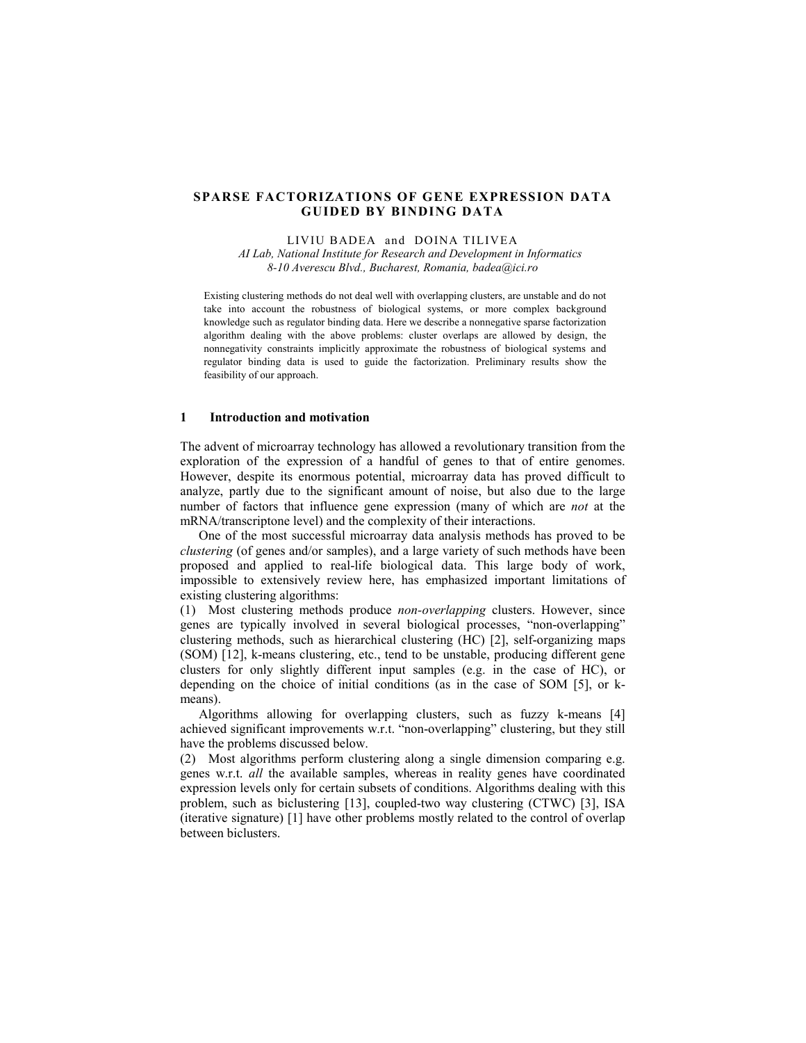## **SPARSE FACTORIZATIONS OF GENE EXPRESSION DATA GUIDED BY BINDING DATA**

LIVIU BADEA and DOINA TILIVEA *AI Lab, National Institute for Research and Development in Informatics 8-10 Averescu Blvd., Bucharest, Romania, badea@ici.ro* 

Existing clustering methods do not deal well with overlapping clusters, are unstable and do not take into account the robustness of biological systems, or more complex background knowledge such as regulator binding data. Here we describe a nonnegative sparse factorization algorithm dealing with the above problems: cluster overlaps are allowed by design, the nonnegativity constraints implicitly approximate the robustness of biological systems and regulator binding data is used to guide the factorization. Preliminary results show the feasibility of our approach.

## **1 Introduction and motivation**

The advent of microarray technology has allowed a revolutionary transition from the exploration of the expression of a handful of genes to that of entire genomes. However, despite its enormous potential, microarray data has proved difficult to analyze, partly due to the significant amount of noise, but also due to the large number of factors that influence gene expression (many of which are *not* at the mRNA/transcriptone level) and the complexity of their interactions.

One of the most successful microarray data analysis methods has proved to be *clustering* (of genes and/or samples), and a large variety of such methods have been proposed and applied to real-life biological data. This large body of work, impossible to extensively review here, has emphasized important limitations of existing clustering algorithms:

(1) Most clustering methods produce *non-overlapping* clusters. However, since genes are typically involved in several biological processes, "non-overlapping" clustering methods, such as hierarchical clustering (HC) [2], self-organizing maps (SOM) [12], k-means clustering, etc., tend to be unstable, producing different gene clusters for only slightly different input samples (e.g. in the case of HC), or depending on the choice of initial conditions (as in the case of SOM [5], or kmeans).

Algorithms allowing for overlapping clusters, such as fuzzy k-means [4] achieved significant improvements w.r.t. "non-overlapping" clustering, but they still have the problems discussed below.

(2) Most algorithms perform clustering along a single dimension comparing e.g. genes w.r.t. *all* the available samples, whereas in reality genes have coordinated expression levels only for certain subsets of conditions. Algorithms dealing with this problem, such as biclustering [13], coupled-two way clustering (CTWC) [3], ISA (iterative signature) [1] have other problems mostly related to the control of overlap between biclusters.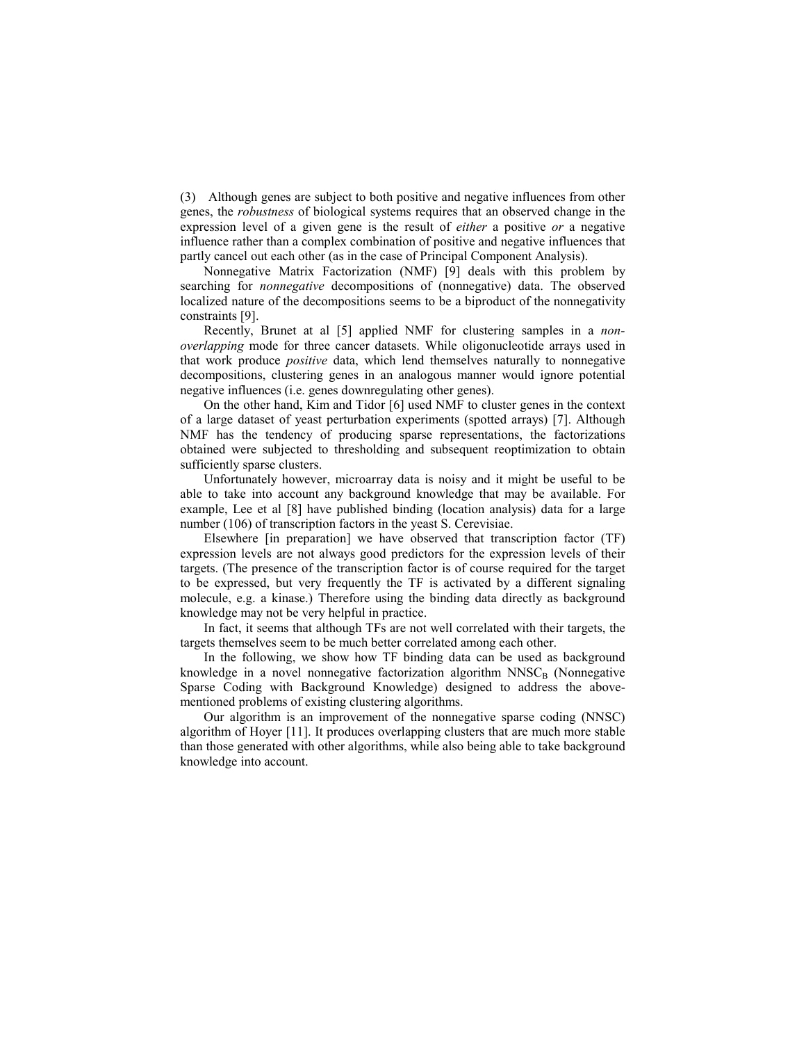(3) Although genes are subject to both positive and negative influences from other genes, the *robustness* of biological systems requires that an observed change in the expression level of a given gene is the result of *either* a positive *or* a negative influence rather than a complex combination of positive and negative influences that partly cancel out each other (as in the case of Principal Component Analysis).

Nonnegative Matrix Factorization (NMF) [9] deals with this problem by searching for *nonnegative* decompositions of (nonnegative) data. The observed localized nature of the decompositions seems to be a biproduct of the nonnegativity constraints [9].

Recently, Brunet at al [5] applied NMF for clustering samples in a *nonoverlapping* mode for three cancer datasets. While oligonucleotide arrays used in that work produce *positive* data, which lend themselves naturally to nonnegative decompositions, clustering genes in an analogous manner would ignore potential negative influences (i.e. genes downregulating other genes).

On the other hand, Kim and Tidor [6] used NMF to cluster genes in the context of a large dataset of yeast perturbation experiments (spotted arrays) [7]. Although NMF has the tendency of producing sparse representations, the factorizations obtained were subjected to thresholding and subsequent reoptimization to obtain sufficiently sparse clusters.

Unfortunately however, microarray data is noisy and it might be useful to be able to take into account any background knowledge that may be available. For example, Lee et al [8] have published binding (location analysis) data for a large number (106) of transcription factors in the yeast S. Cerevisiae.

Elsewhere [in preparation] we have observed that transcription factor (TF) expression levels are not always good predictors for the expression levels of their targets. (The presence of the transcription factor is of course required for the target to be expressed, but very frequently the TF is activated by a different signaling molecule, e.g. a kinase.) Therefore using the binding data directly as background knowledge may not be very helpful in practice.

In fact, it seems that although TFs are not well correlated with their targets, the targets themselves seem to be much better correlated among each other.

In the following, we show how TF binding data can be used as background knowledge in a novel nonnegative factorization algorithm  $NNSC<sub>B</sub>$  (Nonnegative Sparse Coding with Background Knowledge) designed to address the abovementioned problems of existing clustering algorithms.

Our algorithm is an improvement of the nonnegative sparse coding (NNSC) algorithm of Hoyer [11]. It produces overlapping clusters that are much more stable than those generated with other algorithms, while also being able to take background knowledge into account.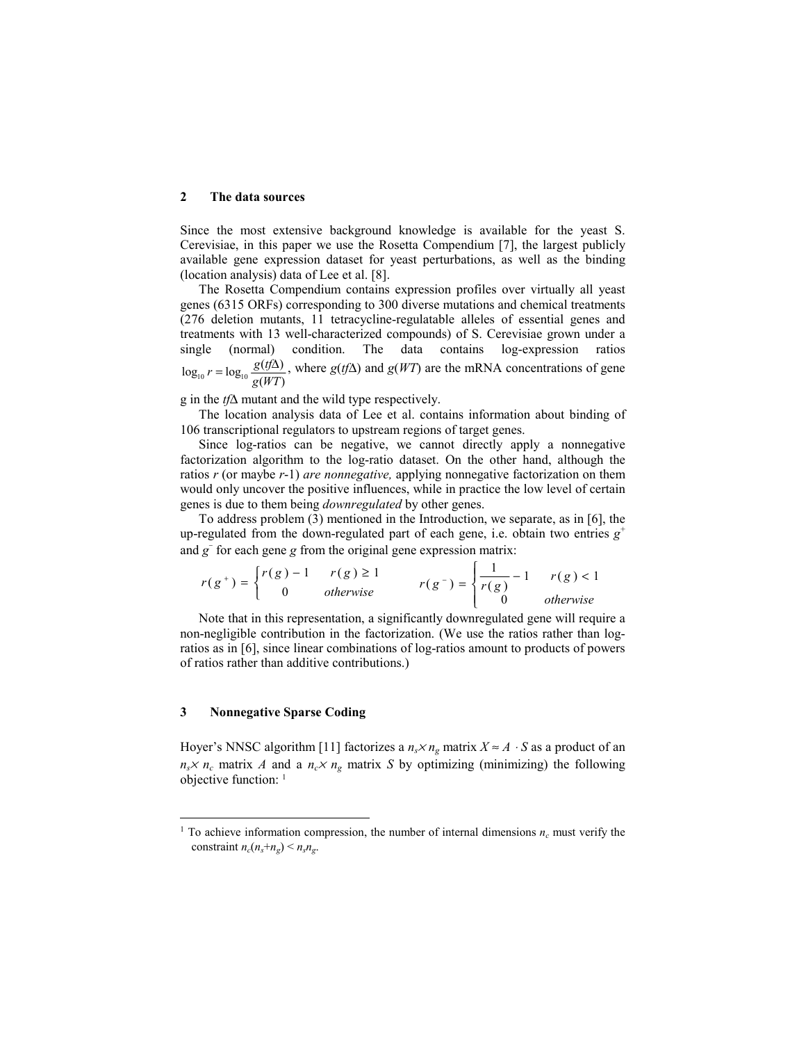### **2 The data sources**

Since the most extensive background knowledge is available for the yeast S. Cerevisiae, in this paper we use the Rosetta Compendium [7], the largest publicly available gene expression dataset for yeast perturbations, as well as the binding (location analysis) data of Lee et al. [8].

The Rosetta Compendium contains expression profiles over virtually all yeast genes (6315 ORFs) corresponding to 300 diverse mutations and chemical treatments (276 deletion mutants, 11 tetracycline-regulatable alleles of essential genes and treatments with 13 well-characterized compounds) of S. Cerevisiae grown under a single (normal) condition. The data contains log-expression ratios  $log_{10} r = log_{10} \frac{g(tf\Delta)}{g(WT)}$ , where  $g(tf\Delta)$  and  $g(WT)$  are the mRNA concentrations of gene

g in the *tf*∆ mutant and the wild type respectively.

The location analysis data of Lee et al. contains information about binding of 106 transcriptional regulators to upstream regions of target genes.

Since log-ratios can be negative, we cannot directly apply a nonnegative factorization algorithm to the log-ratio dataset. On the other hand, although the ratios *r* (or maybe *r*-1) *are nonnegative,* applying nonnegative factorization on them would only uncover the positive influences, while in practice the low level of certain genes is due to them being *downregulated* by other genes.

To address problem (3) mentioned in the Introduction, we separate, as in [6], the up-regulated from the down-regulated part of each gene, i.e. obtain two entries  $g^+$ and *g*<sup>−</sup> for each gene *g* from the original gene expression matrix:

$$
r(g^+) = \begin{cases} r(g) - 1 & r(g) \ge 1 \\ 0 & \text{otherwise} \end{cases} \qquad r(g^-) = \begin{cases} \frac{1}{r(g)} - 1 & r(g) < 1 \\ 0 & \text{otherwise} \end{cases}
$$

Note that in this representation, a significantly downregulated gene will require a non-negligible contribution in the factorization. (We use the ratios rather than logratios as in [6], since linear combinations of log-ratios amount to products of powers of ratios rather than additive contributions.)

## **3 Nonnegative Sparse Coding**

l

Hoyer's NNSC algorithm [11] factorizes a  $n_s \times n_g$  matrix  $X \approx A \cdot S$  as a product of an  $n_s \times n_c$  matrix *A* and a  $n_c \times n_g$  matrix *S* by optimizing (minimizing) the following objective function: 1

<sup>&</sup>lt;sup>1</sup> To achieve information compression, the number of internal dimensions  $n_c$  must verify the constraint  $n_c(n_s+n_g) \le n_s n_g$ .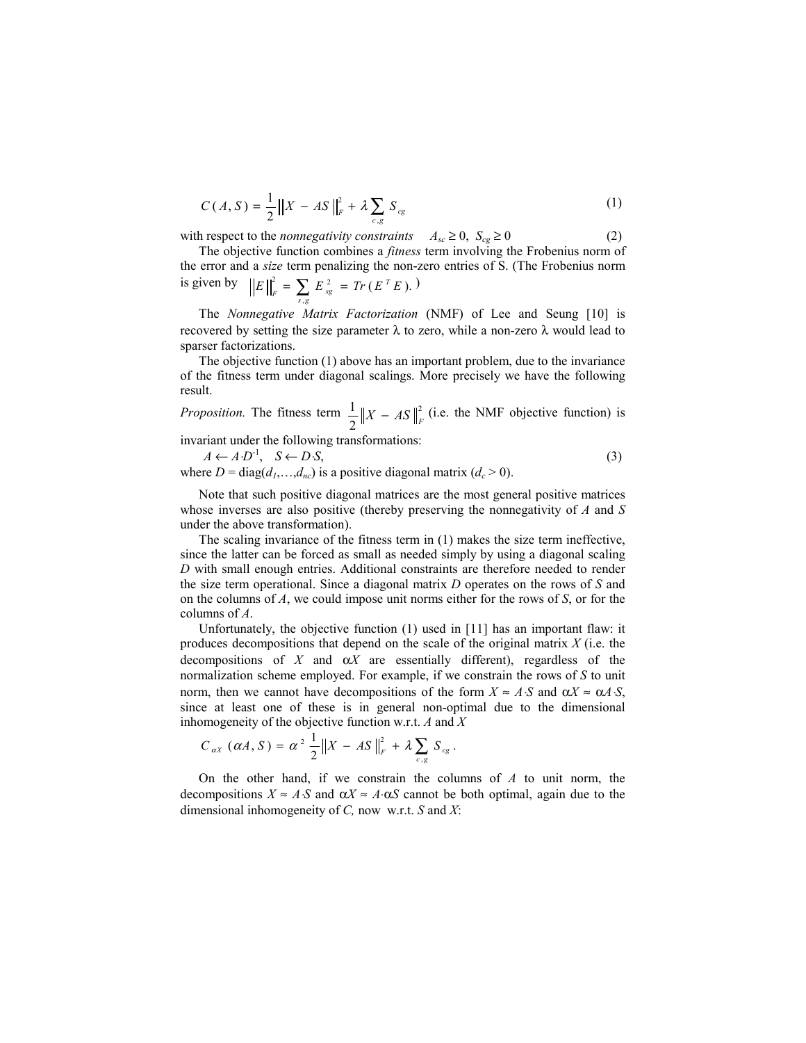$$
C(A, S) = \frac{1}{2} ||X - AS||_F^2 + \lambda \sum_{c, g} S_{cg}
$$
 (1)

with respect to the *nonnegativity constraints*  $A_{sc} \ge 0$ ,  $S_{cg} \ge 0$  (2)

The objective function combines a *fitness* term involving the Frobenius norm of the error and a *size* term penalizing the non-zero entries of S. (The Frobenius norm is given by  $||E||_{\mathcal{E}}^2 = \sum E_{\mathcal{S}}^2 = Tr(E^T E).$ ,  $E\Big\|_{r}^{2} = \sum E_{\text{so}}^{2} = Tr(E^{T}E)$  $\sum_{s,g} E_{sg}^2 = Tr(E^T E).$ 

The *Nonnegative Matrix Factorization* (NMF) of Lee and Seung [10] is recovered by setting the size parameter λ to zero, while a non-zero λ would lead to sparser factorizations.

The objective function (1) above has an important problem, due to the invariance of the fitness term under diagonal scalings. More precisely we have the following result.

*Proposition.* The fitness term  $\frac{1}{2} \|X - AS\|^2$ 2  $\frac{1}{2} \|X - AS\|_F^2$  (i.e. the NMF objective function) is

invariant under the following transformations:

 $A \leftarrow A \cdot D^{-1}, \quad S \leftarrow D \cdot S,$  (3) where  $D = diag(d_1,...,d_n)$  is a positive diagonal matrix  $(d_c > 0)$ .

Note that such positive diagonal matrices are the most general positive matrices whose inverses are also positive (thereby preserving the nonnegativity of *A* and *S* under the above transformation).

The scaling invariance of the fitness term in (1) makes the size term ineffective, since the latter can be forced as small as needed simply by using a diagonal scaling *D* with small enough entries. Additional constraints are therefore needed to render the size term operational. Since a diagonal matrix *D* operates on the rows of *S* and on the columns of *A*, we could impose unit norms either for the rows of *S*, or for the columns of *A*.

Unfortunately, the objective function (1) used in [11] has an important flaw: it produces decompositions that depend on the scale of the original matrix *X* (i.e. the decompositions of  $X$  and  $\alpha X$  are essentially different), regardless of the normalization scheme employed. For example, if we constrain the rows of *S* to unit norm, then we cannot have decompositions of the form  $X \approx A \cdot S$  and  $\alpha X \approx \alpha A \cdot S$ . since at least one of these is in general non-optimal due to the dimensional inhomogeneity of the objective function w.r.t. *A* and *X* 

$$
C_{\alpha X}(\alpha A, S) = \alpha^2 \frac{1}{2} \|X - AS\|_F^2 + \lambda \sum_{c,g} S_{cg}.
$$

On the other hand, if we constrain the columns of *A* to unit norm, the decompositions  $X \approx A \cdot S$  and  $\alpha X \approx A \cdot \alpha S$  cannot be both optimal, again due to the dimensional inhomogeneity of *C,* now w.r.t. *S* and *X*: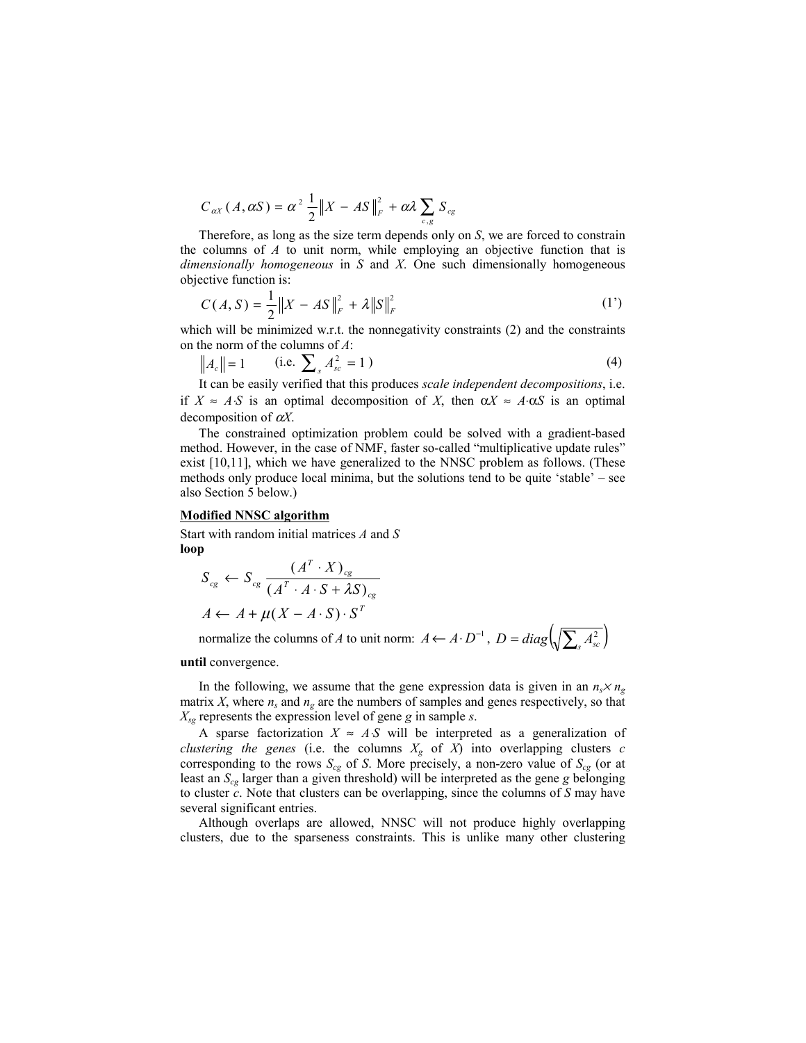$$
C_{\alpha X}(A, \alpha S) = \alpha^2 \frac{1}{2} \|X - AS\|_{F}^{2} + \alpha \lambda \sum_{c,g} S_{cg}
$$

Therefore, as long as the size term depends only on *S*, we are forced to constrain the columns of *A* to unit norm, while employing an objective function that is *dimensionally homogeneous* in *S* and *X*. One such dimensionally homogeneous objective function is:

$$
C(A, S) = \frac{1}{2} \|X - AS\|_{F}^{2} + \lambda \|S\|_{F}^{2}
$$
 (1')

which will be minimized w.r.t. the nonnegativity constraints (2) and the constraints on the norm of the columns of *A*:

$$
||A_c|| = 1 \t\t (i.e. \sum_s A_{sc}^2 = 1)
$$
\t(4)

It can be easily verified that this produces *scale independent decompositions*, i.e. if  $X \approx A \cdot S$  is an optimal decomposition of *X*, then  $\alpha X \approx A \cdot \alpha S$  is an optimal decomposition of <sup>α</sup>*X*.

The constrained optimization problem could be solved with a gradient-based method. However, in the case of NMF, faster so-called "multiplicative update rules" exist [10,11], which we have generalized to the NNSC problem as follows. (These methods only produce local minima, but the solutions tend to be quite 'stable' – see also Section 5 below.)

#### **Modified NNSC algorithm**

Start with random initial matrices *A* and *S* **loop** 

$$
S_{cg} \leftarrow S_{cg} \frac{(A^T \cdot X)_{cg}}{(A^T \cdot A \cdot S + \lambda S)_{cg}}
$$
  

$$
A \leftarrow A + \mu(X - A \cdot S) \cdot S^T
$$

normalize the columns of *A* to unit norm:  $A \leftarrow A \cdot D^{-1}$ ,  $D = diag \left( \sqrt{\sum_s A_{sc}^2} \right)$ 

**until** convergence.

In the following, we assume that the gene expression data is given in an  $n_s \times n_g$ matrix *X*, where  $n_s$  and  $n_g$  are the numbers of samples and genes respectively, so that *Xsg* represents the expression level of gene *g* in sample *s*.

A sparse factorization  $X \approx AS$  will be interpreted as a generalization of *clustering the genes* (i.e. the columns  $X_g$  of  $X$ ) into overlapping clusters  $c$ corresponding to the rows  $S_{cg}$  of *S*. More precisely, a non-zero value of  $S_{cg}$  (or at least an *Scg* larger than a given threshold) will be interpreted as the gene *g* belonging to cluster *c*. Note that clusters can be overlapping, since the columns of *S* may have several significant entries.

Although overlaps are allowed, NNSC will not produce highly overlapping clusters, due to the sparseness constraints. This is unlike many other clustering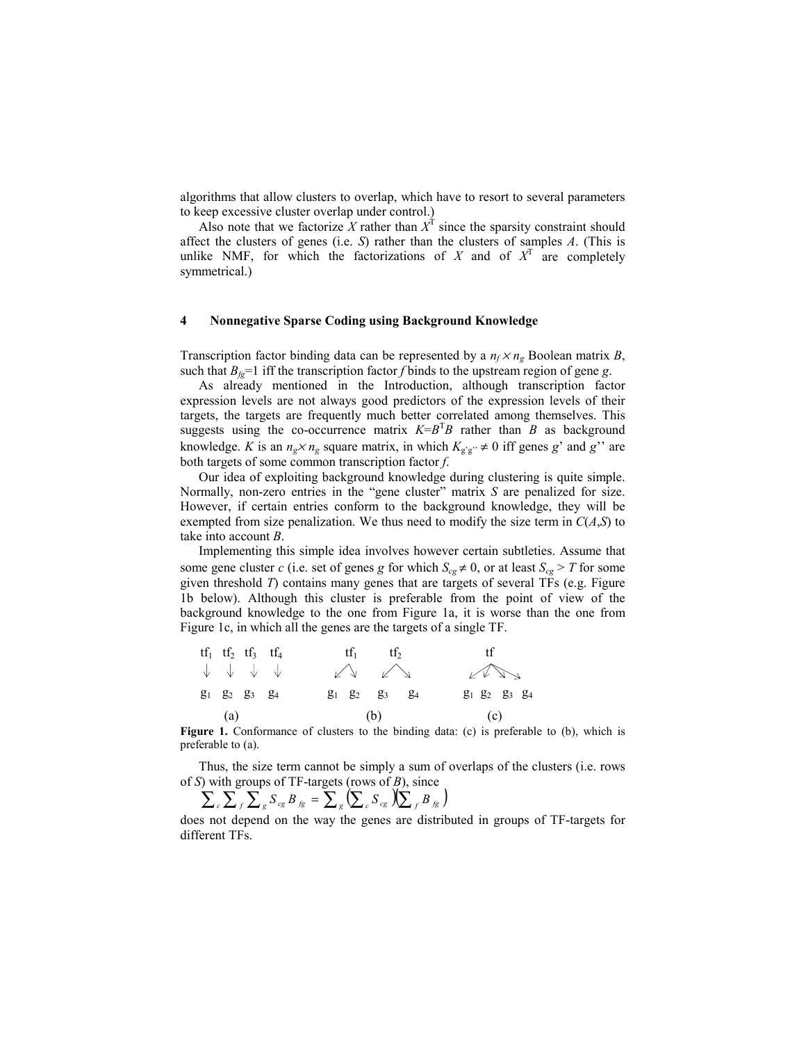algorithms that allow clusters to overlap, which have to resort to several parameters to keep excessive cluster overlap under control.)

Also note that we factorize X rather than  $X^T$  since the sparsity constraint should affect the clusters of genes (i.e. *S*) rather than the clusters of samples *A*. (This is unlike NMF, for which the factorizations of  $X$  and of  $X<sup>T</sup>$  are completely symmetrical.)

### **4 Nonnegative Sparse Coding using Background Knowledge**

Transcription factor binding data can be represented by a  $n_f \times n_g$  Boolean matrix *B*, such that  $B_f = 1$  iff the transcription factor *f* binds to the upstream region of gene *g*.

As already mentioned in the Introduction, although transcription factor expression levels are not always good predictors of the expression levels of their targets, the targets are frequently much better correlated among themselves. This suggests using the co-occurrence matrix  $K = B^T B$  rather than *B* as background knowledge. *K* is an  $n_g \times n_g$  square matrix, in which  $K_{g'g'} \neq 0$  iff genes *g*' and *g*'' are both targets of some common transcription factor *f*.

Our idea of exploiting background knowledge during clustering is quite simple. Normally, non-zero entries in the "gene cluster" matrix *S* are penalized for size. However, if certain entries conform to the background knowledge, they will be exempted from size penalization. We thus need to modify the size term in  $C(A, S)$  to take into account *B*.

Implementing this simple idea involves however certain subtleties. Assume that some gene cluster *c* (i.e. set of genes *g* for which  $S_{cg} \neq 0$ , or at least  $S_{cg} > T$  for some given threshold *T*) contains many genes that are targets of several TFs (e.g. Figure 1b below). Although this cluster is preferable from the point of view of the background knowledge to the one from Figure 1a, it is worse than the one from Figure 1c, in which all the genes are the targets of a single TF.

|  | $tf_1$ $tf_2$ $tf_3$ $tf_4$                                 |  | $tf_1$ $tf_2$           |     | tf                                                          |  |
|--|-------------------------------------------------------------|--|-------------------------|-----|-------------------------------------------------------------|--|
|  | $\downarrow$ $\downarrow$ $\downarrow$ $\downarrow$         |  | $\sqrt{2}$              |     | $\sqrt{2}$                                                  |  |
|  | g <sub>1</sub> g <sub>2</sub> g <sub>3</sub> g <sub>4</sub> |  | $g_1$ $g_2$ $g_3$ $g_4$ |     | g <sub>1</sub> g <sub>2</sub> g <sub>3</sub> g <sub>4</sub> |  |
|  | (a)                                                         |  | (b)                     | (c) |                                                             |  |

Figure 1. Conformance of clusters to the binding data: (c) is preferable to (b), which is preferable to (a).

Thus, the size term cannot be simply a sum of overlaps of the clusters (i.e. rows of *S*) with groups of TF-targets (rows of *B*), since

$$
\sum_{c} \sum_{f} \sum_{g} S_{cg} B_{fg} = \sum_{g} (\sum_{c} S_{cg} ) (\sum_{f} B_{fg} )
$$

does not depend on the way the genes are distributed in groups of TF-targets for different TFs.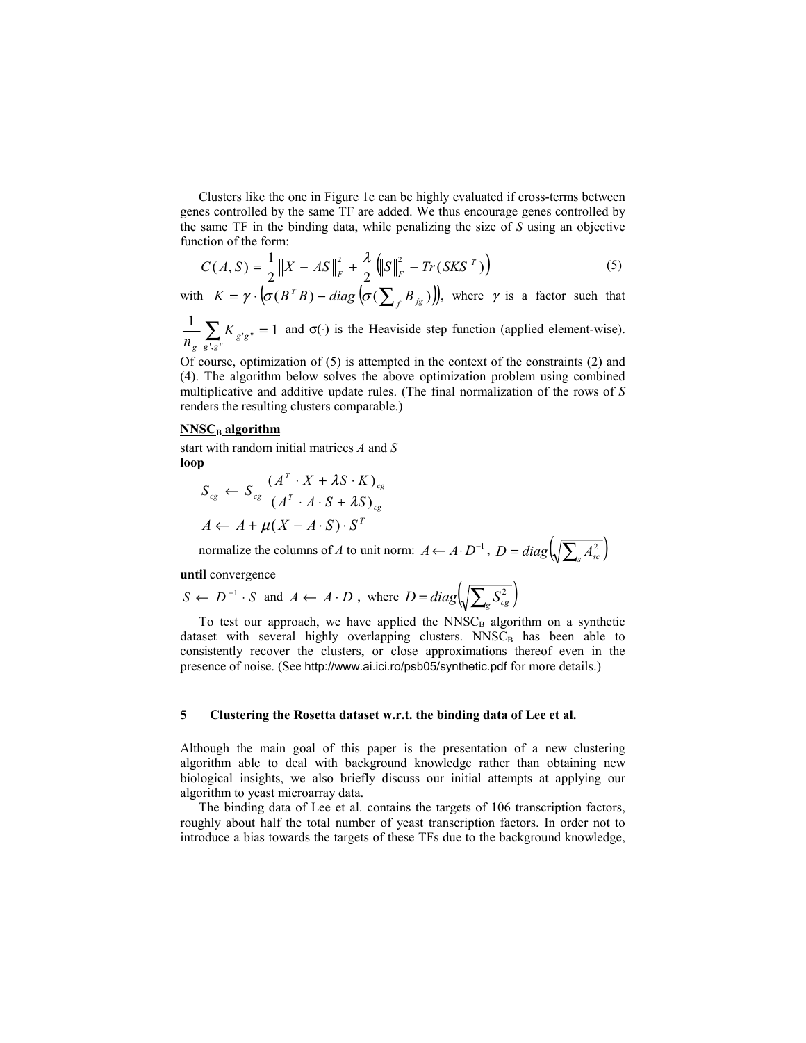Clusters like the one in Figure 1c can be highly evaluated if cross-terms between genes controlled by the same TF are added. We thus encourage genes controlled by the same TF in the binding data, while penalizing the size of *S* using an objective function of the form:

$$
C(A, S) = \frac{1}{2} \|X - AS\|_F^2 + \frac{\lambda}{2} \left( \|S\|_F^2 - Tr(SKS^T) \right)
$$
 (5)

with  $K = \gamma \cdot (\sigma(B^T B) - diag(\sigma(\sum_{f} B_{fg}))$ , where  $\gamma$  is a factor such that

 $\frac{1}{\sqrt{2}}\sum_{\sigma' \sigma''}=1$  $\sum_{g',g''} K_{g'g''} =$ *g K n* and  $\sigma(\cdot)$  is the Heaviside step function (applied element-wise).

Of course, optimization of (5) is attempted in the context of the constraints (2) and (4). The algorithm below solves the above optimization problem using combined multiplicative and additive update rules. (The final normalization of the rows of *S* renders the resulting clusters comparable.)

#### **NNSC<sub>B</sub>** algorithm

start with random initial matrices *A* and *S* **loop** 

$$
S_{cg} \leftarrow S_{cg} \frac{(A^T \cdot X + \lambda S \cdot K)_{cg}}{(A^T \cdot A \cdot S + \lambda S)_{cg}}
$$
  

$$
A \leftarrow A + \mu(X - A \cdot S) \cdot S^T
$$

normalize the columns of *A* to unit norm:  $A \leftarrow A \cdot D^{-1}$ ,  $D = diag \left( \sqrt{\sum_s A_{sc}^2} \right)$ 

### **until** convergence

$$
S \leftarrow D^{-1} \cdot S
$$
 and  $A \leftarrow A \cdot D$ , where  $D = diag \left( \sqrt{\sum_{g} S_{cg}^2} \right)$ 

To test our approach, we have applied the  $NNSC_B$  algorithm on a synthetic dataset with several highly overlapping clusters. NNSC<sub>B</sub> has been able to consistently recover the clusters, or close approximations thereof even in the presence of noise. (See http://www.ai.ici.ro/psb05/synthetic.pdf for more details.)

## **5 Clustering the Rosetta dataset w.r.t. the binding data of Lee et al.**

Although the main goal of this paper is the presentation of a new clustering algorithm able to deal with background knowledge rather than obtaining new biological insights, we also briefly discuss our initial attempts at applying our algorithm to yeast microarray data.

The binding data of Lee et al. contains the targets of 106 transcription factors, roughly about half the total number of yeast transcription factors. In order not to introduce a bias towards the targets of these TFs due to the background knowledge,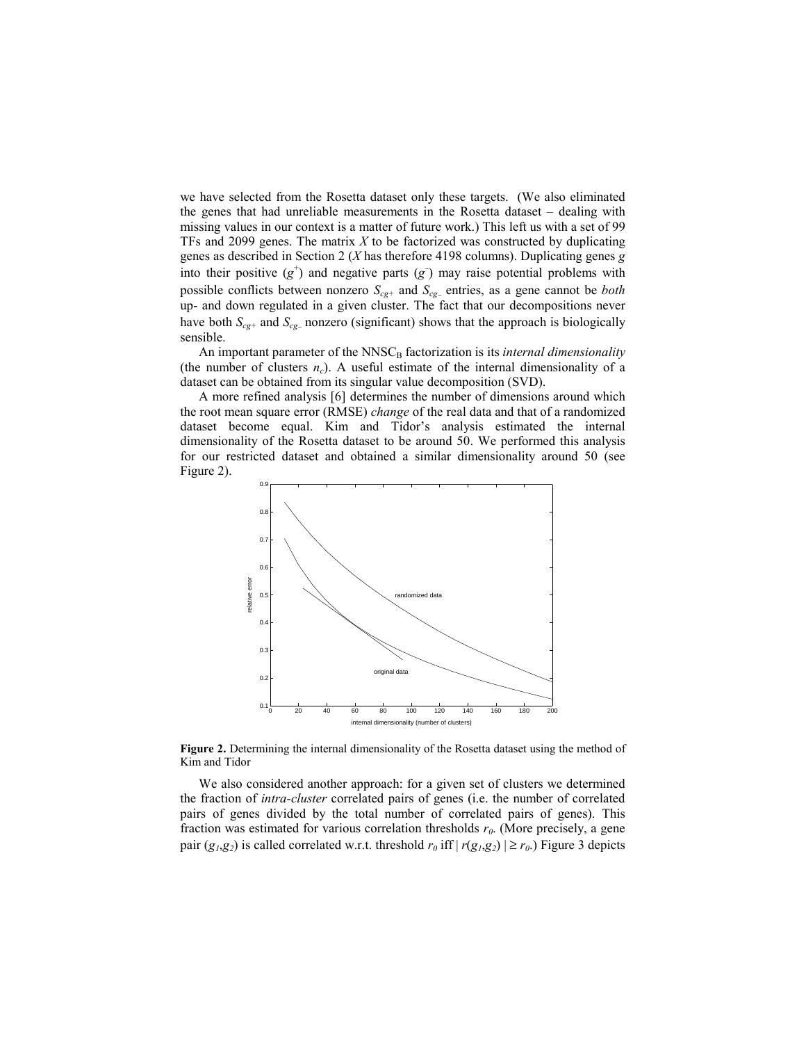we have selected from the Rosetta dataset only these targets. (We also eliminated the genes that had unreliable measurements in the Rosetta dataset – dealing with missing values in our context is a matter of future work.) This left us with a set of 99 TFs and 2099 genes. The matrix *X* to be factorized was constructed by duplicating genes as described in Section 2 (*X* has therefore 4198 columns). Duplicating genes *g* into their positive  $(g^+)$  and negative parts  $(g^-)$  may raise potential problems with possible conflicts between nonzero *S<sub>cg+</sub>* and *S<sub>cg</sub>*− entries, as a gene cannot be *both* up- and down regulated in a given cluster. The fact that our decompositions never have both  $S_{cg+}$  and  $S_{cg-}$  nonzero (significant) shows that the approach is biologically sensible.

An important parameter of the NNSC<sub>B</sub> factorization is its *internal dimensionality* (the number of clusters  $n_c$ ). A useful estimate of the internal dimensionality of a dataset can be obtained from its singular value decomposition (SVD).

A more refined analysis [6] determines the number of dimensions around which the root mean square error (RMSE) *change* of the real data and that of a randomized dataset become equal. Kim and Tidor's analysis estimated the internal dimensionality of the Rosetta dataset to be around 50. We performed this analysis for our restricted dataset and obtained a similar dimensionality around 50 (see Figure 2).



**Figure 2.** Determining the internal dimensionality of the Rosetta dataset using the method of Kim and Tidor

We also considered another approach: for a given set of clusters we determined the fraction of *intra-cluster* correlated pairs of genes (i.e. the number of correlated pairs of genes divided by the total number of correlated pairs of genes). This fraction was estimated for various correlation thresholds  $r<sub>0</sub>$ . (More precisely, a gene pair ( $g_1$ , $g_2$ ) is called correlated w.r.t. threshold  $r_0$  iff  $|r(g_1, g_2)| \ge r_0$ .) Figure 3 depicts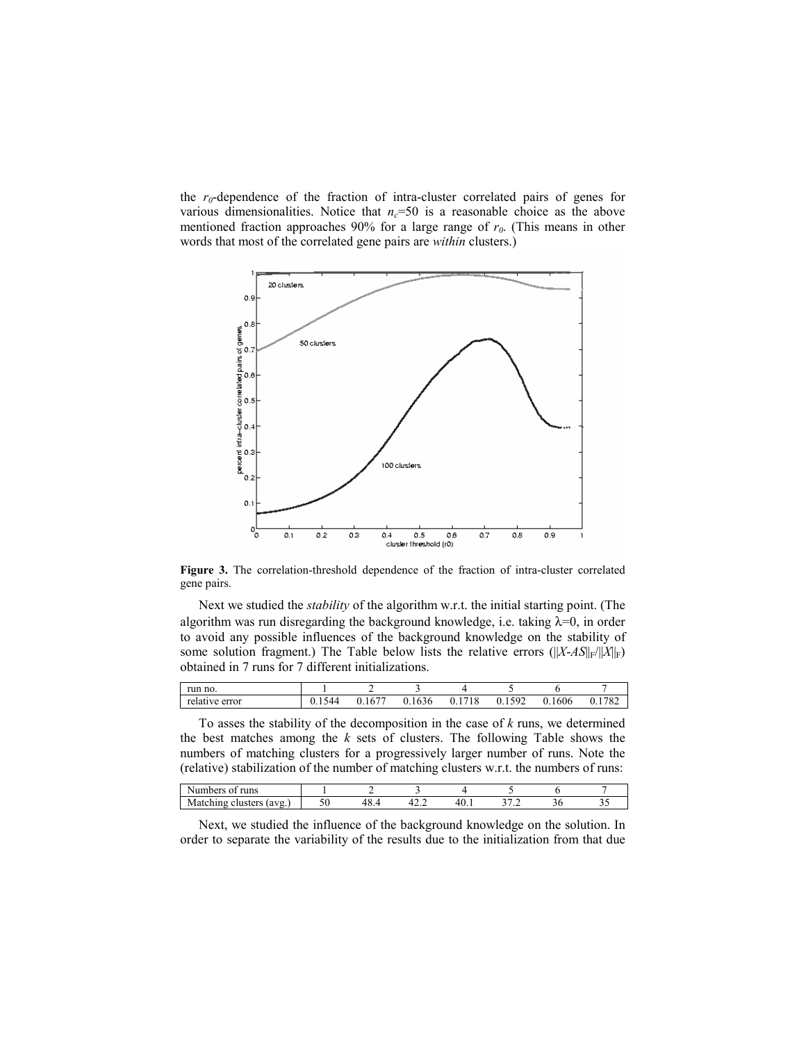the  $r_0$ -dependence of the fraction of intra-cluster correlated pairs of genes for various dimensionalities. Notice that  $n_c$ =50 is a reasonable choice as the above mentioned fraction approaches  $90\%$  for a large range of  $r_0$ . (This means in other words that most of the correlated gene pairs are *within* clusters.)



**Figure 3.** The correlation-threshold dependence of the fraction of intra-cluster correlated gene pairs.

Next we studied the *stability* of the algorithm w.r.t. the initial starting point. (The algorithm was run disregarding the background knowledge, i.e. taking  $\lambda=0$ , in order to avoid any possible influences of the background knowledge on the stability of some solution fragment.) The Table below lists the relative errors  $(||X-AS||_F/||X||_F)$ obtained in 7 runs for 7 different initializations.

| run no.         |               |                       |     |                            |                                |             |               |
|-----------------|---------------|-----------------------|-----|----------------------------|--------------------------------|-------------|---------------|
| relati<br>error | $\frac{1}{2}$ | <del>.</del><br>. I V | 636 | $\overline{ }$<br>10<br>10 | $\sim$ $\sim$<br>$\sim$<br>. . | 1606<br>0.1 | $\sim$<br>ິບ∠ |

To asses the stability of the decomposition in the case of *k* runs, we determined the best matches among the *k* sets of clusters. The following Table shows the numbers of matching clusters for a progressively larger number of runs. Note the (relative) stabilization of the number of matching clusters w.r.t. the numbers of runs:

| runs<br>N.<br>01<br>лет                     |     |      |  |  |
|---------------------------------------------|-----|------|--|--|
| o se<br>'avg.<br>M<br><b>CHUSICIS</b><br>ıα | TU. | −∠…∠ |  |  |

Next, we studied the influence of the background knowledge on the solution. In order to separate the variability of the results due to the initialization from that due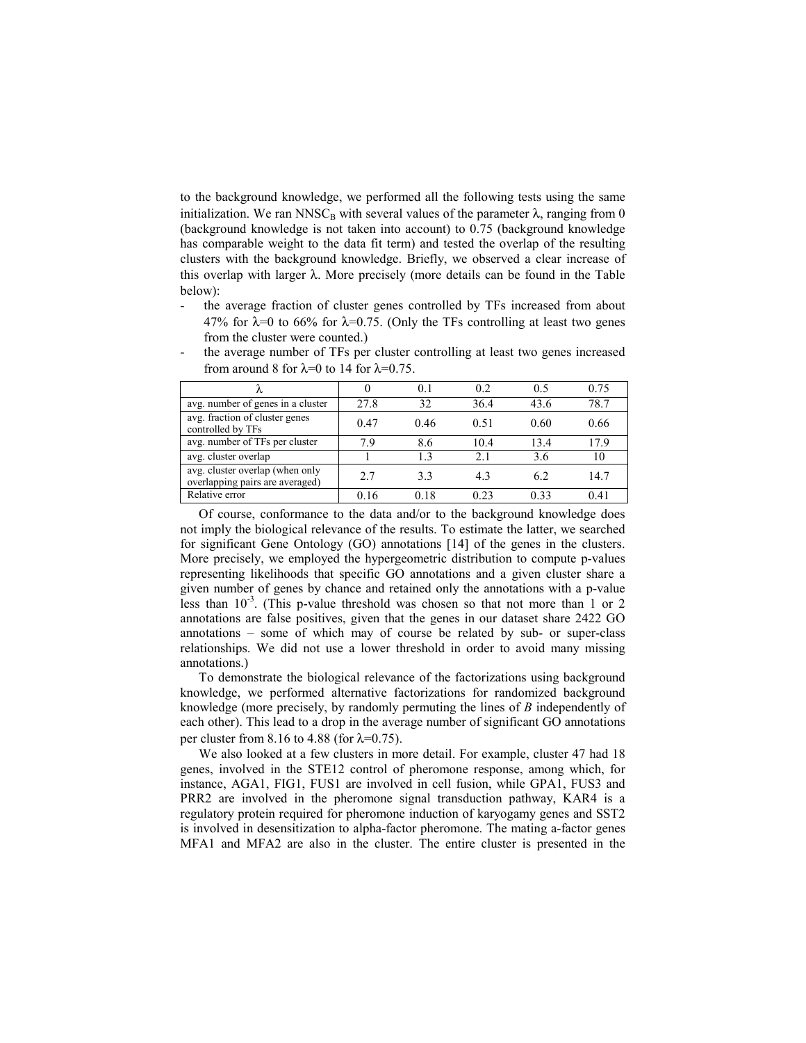to the background knowledge, we performed all the following tests using the same initialization. We ran NNSC<sub>B</sub> with several values of the parameter  $\lambda$ , ranging from 0 (background knowledge is not taken into account) to 0.75 (background knowledge has comparable weight to the data fit term) and tested the overlap of the resulting clusters with the background knowledge. Briefly, we observed a clear increase of this overlap with larger  $λ$ . More precisely (more details can be found in the Table below):

the average fraction of cluster genes controlled by TFs increased from about 47% for  $\lambda$ =0 to 66% for  $\lambda$ =0.75. (Only the TFs controlling at least two genes from the cluster were counted.)

|                                                                    |      | 0 <sup>1</sup> | 0.2  | 0.5  | 0.75 |
|--------------------------------------------------------------------|------|----------------|------|------|------|
| avg. number of genes in a cluster                                  | 27.8 | 32             | 36.4 | 43.6 | 78.7 |
| avg. fraction of cluster genes<br>controlled by TFs                | 0.47 | 0.46           | 0.51 | 0.60 | 0.66 |
| avg. number of TFs per cluster                                     | 79   | 8.6            | 10.4 | 13.4 | 17.9 |
| avg. cluster overlap                                               |      | 13             | 2.1  | 3.6  | 10   |
| avg. cluster overlap (when only<br>overlapping pairs are averaged) | 27   | 33             | 4.3  | 62   | 14.7 |
| Relative error                                                     | 0.16 | 0.18           | 0.23 | 0.33 | 0.41 |

the average number of TFs per cluster controlling at least two genes increased from around 8 for  $\lambda=0$  to 14 for  $\lambda=0.75$ .

Of course, conformance to the data and/or to the background knowledge does not imply the biological relevance of the results. To estimate the latter, we searched for significant Gene Ontology (GO) annotations [14] of the genes in the clusters. More precisely, we employed the hypergeometric distribution to compute p-values representing likelihoods that specific GO annotations and a given cluster share a given number of genes by chance and retained only the annotations with a p-value less than  $10^{-3}$ . (This p-value threshold was chosen so that not more than 1 or 2 annotations are false positives, given that the genes in our dataset share 2422 GO annotations – some of which may of course be related by sub- or super-class relationships. We did not use a lower threshold in order to avoid many missing annotations.)

To demonstrate the biological relevance of the factorizations using background knowledge, we performed alternative factorizations for randomized background knowledge (more precisely, by randomly permuting the lines of *B* independently of each other). This lead to a drop in the average number of significant GO annotations per cluster from 8.16 to 4.88 (for  $\lambda$ =0.75).

We also looked at a few clusters in more detail. For example, cluster 47 had 18 genes, involved in the STE12 control of pheromone response, among which, for instance, AGA1, FIG1, FUS1 are involved in cell fusion, while GPA1, FUS3 and PRR2 are involved in the pheromone signal transduction pathway, KAR4 is a regulatory protein required for pheromone induction of karyogamy genes and SST2 is involved in desensitization to alpha-factor pheromone. The mating a-factor genes MFA1 and MFA2 are also in the cluster. The entire cluster is presented in the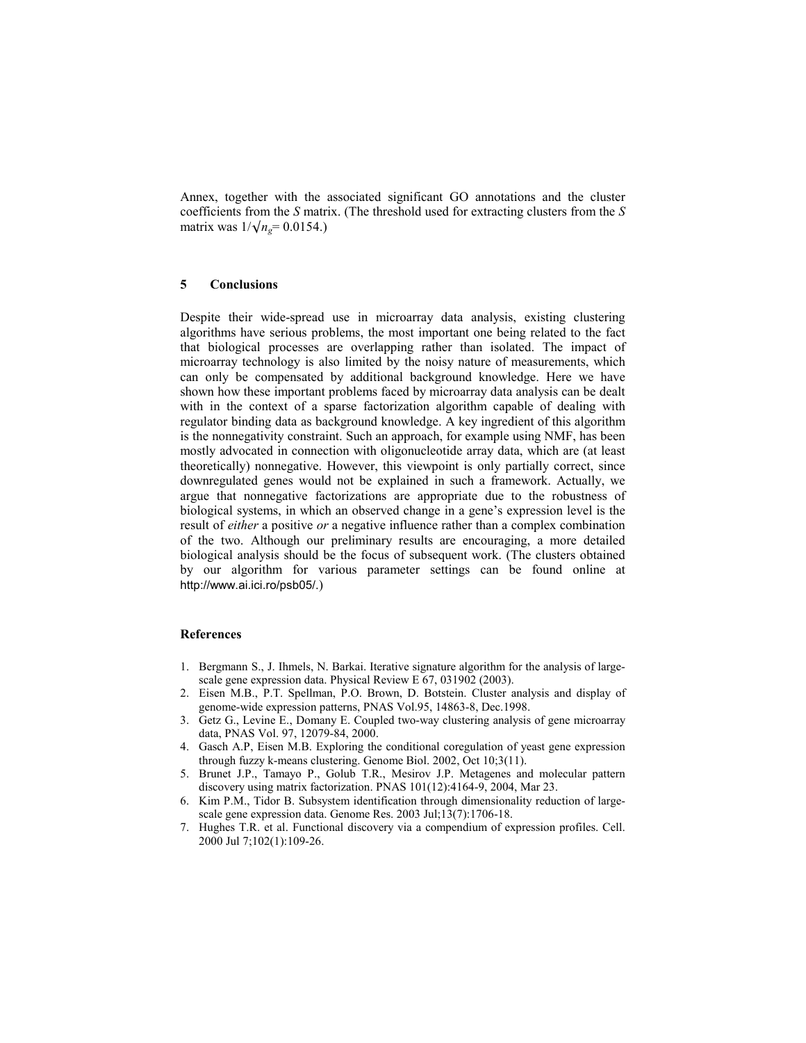Annex, together with the associated significant GO annotations and the cluster coefficients from the *S* matrix. (The threshold used for extracting clusters from the *S* matrix was  $1/\sqrt{n_e} = 0.0154$ .)

## **5 Conclusions**

Despite their wide-spread use in microarray data analysis, existing clustering algorithms have serious problems, the most important one being related to the fact that biological processes are overlapping rather than isolated. The impact of microarray technology is also limited by the noisy nature of measurements, which can only be compensated by additional background knowledge. Here we have shown how these important problems faced by microarray data analysis can be dealt with in the context of a sparse factorization algorithm capable of dealing with regulator binding data as background knowledge. A key ingredient of this algorithm is the nonnegativity constraint. Such an approach, for example using NMF, has been mostly advocated in connection with oligonucleotide array data, which are (at least theoretically) nonnegative. However, this viewpoint is only partially correct, since downregulated genes would not be explained in such a framework. Actually, we argue that nonnegative factorizations are appropriate due to the robustness of biological systems, in which an observed change in a gene's expression level is the result of *either* a positive *or* a negative influence rather than a complex combination of the two. Although our preliminary results are encouraging, a more detailed biological analysis should be the focus of subsequent work. (The clusters obtained by our algorithm for various parameter settings can be found online at http://www.ai.ici.ro/psb05/.)

# **References**

- 1. Bergmann S., J. Ihmels, N. Barkai. Iterative signature algorithm for the analysis of largescale gene expression data. Physical Review E 67, 031902 (2003).
- 2. Eisen M.B., P.T. Spellman, P.O. Brown, D. Botstein. Cluster analysis and display of genome-wide expression patterns, PNAS Vol.95, 14863-8, Dec.1998.
- 3. Getz G., Levine E., Domany E. Coupled two-way clustering analysis of gene microarray data, PNAS Vol. 97, 12079-84, 2000.
- 4. Gasch A.P, Eisen M.B. Exploring the conditional coregulation of yeast gene expression through fuzzy k-means clustering. Genome Biol. 2002, Oct 10;3(11).
- 5. Brunet J.P., Tamayo P., Golub T.R., Mesirov J.P. Metagenes and molecular pattern discovery using matrix factorization. PNAS 101(12):4164-9, 2004, Mar 23.
- 6. Kim P.M., Tidor B. Subsystem identification through dimensionality reduction of largescale gene expression data. Genome Res. 2003 Jul;13(7):1706-18.
- 7. Hughes T.R. et al. Functional discovery via a compendium of expression profiles. Cell. 2000 Jul 7;102(1):109-26.